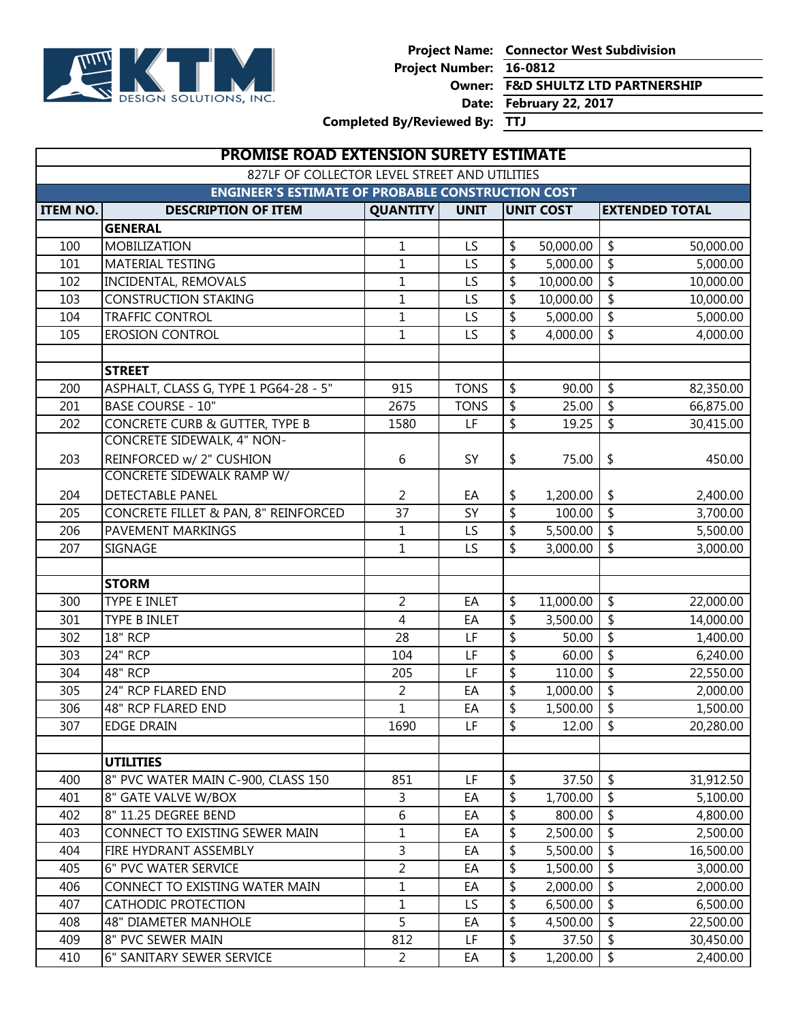

**Project Name: Connector West Subdivision**

**Project Number: 16-0812**

**Owner: F&D SHULTZ LTD PARTNERSHIP**

**Date: February 22, 2017**

**Completed By/Reviewed By: TTJ**

|                 | <b>PROMISE ROAD EXTENSION SURETY ESTIMATE</b>            |                 |                 |                          |                  |                                 |                       |
|-----------------|----------------------------------------------------------|-----------------|-----------------|--------------------------|------------------|---------------------------------|-----------------------|
|                 | 827LF OF COLLECTOR LEVEL STREET AND UTILITIES            |                 |                 |                          |                  |                                 |                       |
|                 | <b>ENGINEER'S ESTIMATE OF PROBABLE CONSTRUCTION COST</b> |                 |                 |                          |                  |                                 |                       |
| <b>ITEM NO.</b> | <b>DESCRIPTION OF ITEM</b>                               | <b>QUANTITY</b> | <b>UNIT</b>     |                          | <b>UNIT COST</b> |                                 | <b>EXTENDED TOTAL</b> |
|                 | <b>GENERAL</b>                                           |                 |                 |                          |                  |                                 |                       |
| 100             | <b>MOBILIZATION</b>                                      | $\mathbf{1}$    | LS              | \$                       | 50,000.00        | $\boldsymbol{\mathsf{\$}}$      | 50,000.00             |
| 101             | <b>MATERIAL TESTING</b>                                  | $\mathbf{1}$    | LS              | \$                       | 5,000.00         | \$                              | 5,000.00              |
| 102             | INCIDENTAL, REMOVALS                                     | $\mathbf{1}$    | LS              | \$                       | 10,000.00        | \$                              | 10,000.00             |
| 103             | <b>CONSTRUCTION STAKING</b>                              | $\mathbf{1}$    | LS              | \$                       | 10,000.00        | $\overline{\boldsymbol{\zeta}}$ | 10,000.00             |
| 104             | <b>TRAFFIC CONTROL</b>                                   | $\mathbf{1}$    | LS              | \$                       | 5,000.00         | \$                              | 5,000.00              |
| 105             | <b>EROSION CONTROL</b>                                   | $\overline{1}$  | $\overline{LS}$ | $\overline{\mathsf{S}}$  | 4,000.00         | \$                              | 4,000.00              |
|                 | <b>STREET</b>                                            |                 |                 |                          |                  |                                 |                       |
| 200             | ASPHALT, CLASS G, TYPE 1 PG64-28 - 5"                    | 915             | <b>TONS</b>     | \$                       | 90.00            | $\frac{1}{2}$                   | 82,350.00             |
| 201             | <b>BASE COURSE - 10"</b>                                 | 2675            | <b>TONS</b>     | \$                       | 25.00            | \$                              | 66,875.00             |
| 202             | CONCRETE CURB & GUTTER, TYPE B                           | 1580            | LF              | \$                       | 19.25            | \$                              | 30,415.00             |
|                 | <b>CONCRETE SIDEWALK, 4" NON-</b>                        |                 |                 |                          |                  |                                 |                       |
| 203             | REINFORCED w/ 2" CUSHION                                 | 6               | SY              | \$                       | 75.00            | \$                              | 450.00                |
|                 | CONCRETE SIDEWALK RAMP W/                                |                 |                 |                          |                  |                                 |                       |
| 204             | <b>DETECTABLE PANEL</b>                                  | 2               | EA              | \$                       | 1,200.00         | \$                              | 2,400.00              |
| 205             | CONCRETE FILLET & PAN, 8" REINFORCED                     | $\overline{37}$ | SY              | \$                       | 100.00           | $\overline{\mathsf{S}}$         | 3,700.00              |
| 206             | <b>PAVEMENT MARKINGS</b>                                 | $\mathbf{1}$    | LS              | \$                       | 5,500.00         | $\overline{\boldsymbol{\zeta}}$ | 5,500.00              |
| 207             | SIGNAGE                                                  | $\mathbf{1}$    | LS              | \$                       | 3,000.00         | \$                              | 3,000.00              |
|                 |                                                          |                 |                 |                          |                  |                                 |                       |
|                 | <b>STORM</b>                                             |                 |                 |                          |                  |                                 |                       |
| 300             | <b>TYPE E INLET</b>                                      | $\overline{2}$  | EA              | \$                       | 11,000.00        | $\overline{\boldsymbol{\zeta}}$ | 22,000.00             |
| 301             | <b>TYPE B INLET</b>                                      | $\overline{4}$  | EA              | \$                       | 3,500.00         | \$                              | 14,000.00             |
| 302             | <b>18" RCP</b>                                           | 28              | LF              | \$                       | 50.00            | \$                              | 1,400.00              |
| 303             | <b>24" RCP</b>                                           | 104             | LF              | \$                       | 60.00            | \$                              | 6,240.00              |
| 304             | <b>48" RCP</b>                                           | 205             | LF              | \$                       | 110.00           | \$                              | 22,550.00             |
| 305             | 24" RCP FLARED END                                       | $\overline{2}$  | EA              | \$                       | 1,000.00         | $\overline{\boldsymbol{\zeta}}$ | 2,000.00              |
| 306             | 48" RCP FLARED END                                       | $\mathbf 1$     | EA              | \$                       | 1,500.00         | \$                              | 1,500.00              |
| 307             | <b>EDGE DRAIN</b>                                        | 1690            | LF              | $\overline{\mathbf{P}}$  | 12.00            | $\overline{\$}$                 | 20,280.00             |
|                 |                                                          |                 |                 |                          |                  |                                 |                       |
|                 | <b>UTILITIES</b>                                         |                 |                 |                          |                  |                                 |                       |
| 400             | 8" PVC WATER MAIN C-900, CLASS 150                       | 851             | LF              | \$                       | 37.50            | \$                              | 31,912.50             |
| 401             | 8" GATE VALVE W/BOX                                      | 3               | EA              | \$                       | 1,700.00         | \$                              | 5,100.00              |
| 402             | 8" 11.25 DEGREE BEND                                     | 6               | EA              | \$                       | 800.00           | \$                              | 4,800.00              |
| 403             | CONNECT TO EXISTING SEWER MAIN                           | $\mathbf 1$     | EA              | \$                       | 2,500.00         | \$                              | 2,500.00              |
| 404             | FIRE HYDRANT ASSEMBLY                                    | 3               | EA              | \$                       | 5,500.00         | \$                              | 16,500.00             |
| 405             | 6" PVC WATER SERVICE                                     | $\overline{2}$  | EA              | \$                       | 1,500.00         | \$                              | 3,000.00              |
| 406             | CONNECT TO EXISTING WATER MAIN                           | $\mathbf 1$     | EA              | \$                       | 2,000.00         | \$                              | 2,000.00              |
| 407             | <b>CATHODIC PROTECTION</b>                               | $\mathbf 1$     | LS.             | \$                       | 6,500.00         | \$                              | 6,500.00              |
| 408             | <b>48" DIAMETER MANHOLE</b>                              | 5               | EA              | \$                       | 4,500.00         | \$                              | 22,500.00             |
| 409             | 8" PVC SEWER MAIN                                        | 812             | LF              | \$                       | 37.50            | \$                              | 30,450.00             |
| 410             | 6" SANITARY SEWER SERVICE                                | $\overline{2}$  | EA              | $\overline{\mathcal{L}}$ | 1,200.00         | $\overline{\boldsymbol{\zeta}}$ | 2,400.00              |